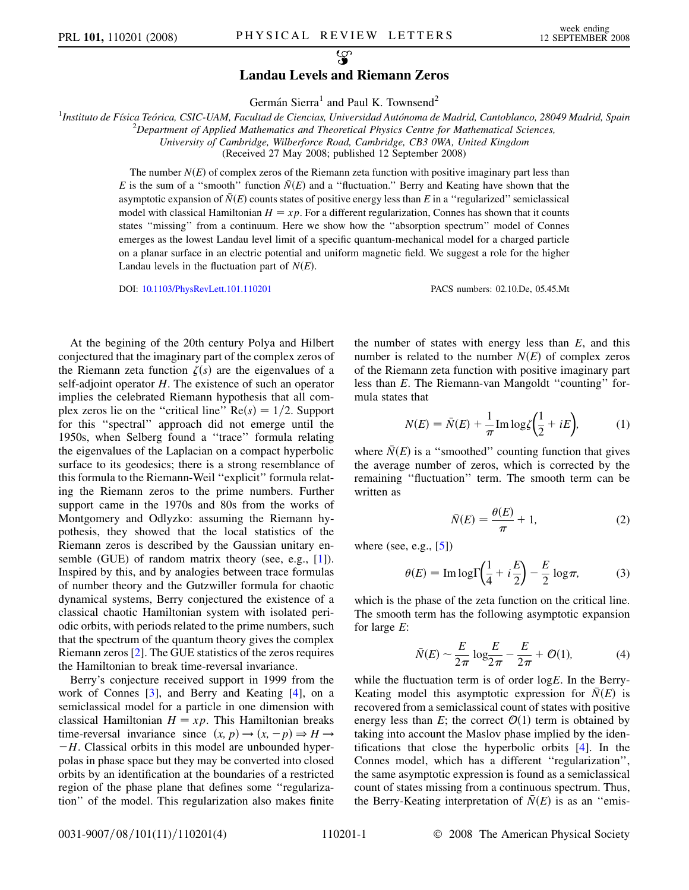$\mathcal{L}$ 

## Landau Levels and Riemann Zeros

Germán Sierra<sup>1</sup> and Paul K. Townsend<sup>2</sup>

<sup>1</sup>Instituto de Física Teórica, CSIC-UAM, Facultad de Ciencias, Universidad Autónoma de Madrid, Cantoblanco, 28049 Madrid, Spain <sup>2</sup>

 $^{2}$ Department of Applied Mathematics and Theoretical Physics Centre for Mathematical Sciences,

University of Cambridge, Wilberforce Road, Cambridge, CB3 0WA, United Kingdom

(Received 27 May 2008; published 12 September 2008)

The number  $N(E)$  of complex zeros of the Riemann zeta function with positive imaginary part less than E is the sum of a "smooth" function  $\overline{N}(E)$  and a "fluctuation." Berry and Keating have shown that the asymptotic expansion of  $\bar{N}(E)$  counts states of positive energy less than E in a "regularized" semiclassical model with classical Hamiltonian  $H = xp$ . For a different regularization, Connes has shown that it counts states ''missing'' from a continuum. Here we show how the ''absorption spectrum'' model of Connes emerges as the lowest Landau level limit of a specific quantum-mechanical model for a charged particle on a planar surface in an electric potential and uniform magnetic field. We suggest a role for the higher Landau levels in the fluctuation part of  $N(E)$ .

DOI: [10.1103/PhysRevLett.101.110201](http://dx.doi.org/10.1103/PhysRevLett.101.110201) PACS numbers: 02.10.De, 05.45.Mt

At the begining of the 20th century Polya and Hilbert conjectured that the imaginary part of the complex zeros of the Riemann zeta function  $\zeta(s)$  are the eigenvalues of a self-adjoint operator H. The existence of such an operator implies the celebrated Riemann hypothesis that all complex zeros lie on the "critical line"  $Re(s) = 1/2$ . Support for this ''spectral'' approach did not emerge until the 1950s, when Selberg found a ''trace'' formula relating the eigenvalues of the Laplacian on a compact hyperbolic surface to its geodesics; there is a strong resemblance of this formula to the Riemann-Weil ''explicit'' formula relating the Riemann zeros to the prime numbers. Further support came in the 1970s and 80s from the works of Montgomery and Odlyzko: assuming the Riemann hypothesis, they showed that the local statistics of the Riemann zeros is described by the Gaussian unitary ensemble (GUE) of random matrix theory (see, e.g., [1]). Inspired by this, and by analogies between trace formulas of number theory and the Gutzwiller formula for chaotic dynamical systems, Berry conjectured the existence of a classical chaotic Hamiltonian system with isolated periodic orbits, with periods related to the prime numbers, such that the spectrum of the quantum theory gives the complex Riemann zeros [2]. The GUE statistics of the zeros requires the Hamiltonian to break time-reversal invariance.

Berry's conjecture received support in 1999 from the work of Connes [3], and Berry and Keating [4], on a semiclassical model for a particle in one dimension with classical Hamiltonian  $H = xp$ . This Hamiltonian breaks time-reversal invariance since  $(x, p) \rightarrow (x, -p) \Rightarrow H \rightarrow$  $-H$ . Classical orbits in this model are unbounded hyperpolas in phase space but they may be converted into closed orbits by an identification at the boundaries of a restricted region of the phase plane that defines some ''regularization'' of the model. This regularization also makes finite the number of states with energy less than  $E$ , and this number is related to the number  $N(E)$  of complex zeros of the Riemann zeta function with positive imaginary part less than E. The Riemann-van Mangoldt ''counting'' formula states that

$$
N(E) = \bar{N}(E) + \frac{1}{\pi} \text{Im} \log \zeta \left(\frac{1}{2} + iE\right),\tag{1}
$$

<span id="page-0-2"></span>where  $\overline{N}(E)$  is a "smoothed" counting function that gives<br>the sygmes gymber of game, which is segmented by the the average number of zeros, which is corrected by the remaining ''fluctuation'' term. The smooth term can be written as

$$
\bar{N}(E) = \frac{\theta(E)}{\pi} + 1,\tag{2}
$$

<span id="page-0-1"></span>where (see, e.g., [5])

$$
\theta(E) = \text{Im}\log\Gamma\left(\frac{1}{4} + i\frac{E}{2}\right) - \frac{E}{2}\log\pi,\tag{3}
$$

<span id="page-0-0"></span>which is the phase of the zeta function on the critical line. The smooth term has the following asymptotic expansion for large E:

$$
\bar{N}(E) \sim \frac{E}{2\pi} \log \frac{E}{2\pi} - \frac{E}{2\pi} + \mathcal{O}(1),\tag{4}
$$

while the fluctuation term is of order  $log E$ . In the Berry-<br>Keating model this asymptotic expression for  $\bar{N}(F)$  is Keating model this asymptotic expression for  $N(E)$  is recovered from a semiclassical count of states with positive energy less than E; the correct  $\mathcal{O}(1)$  term is obtained by taking into account the Maslov phase implied by the identifications that close the hyperbolic orbits [4]. In the Connes model, which has a different ''regularization'', the same asymptotic expression is found as a semiclassical count of states missing from a continuous spectrum. Thus, the Berry-Keating interpretation of  $\overline{N}(E)$  is as an "emis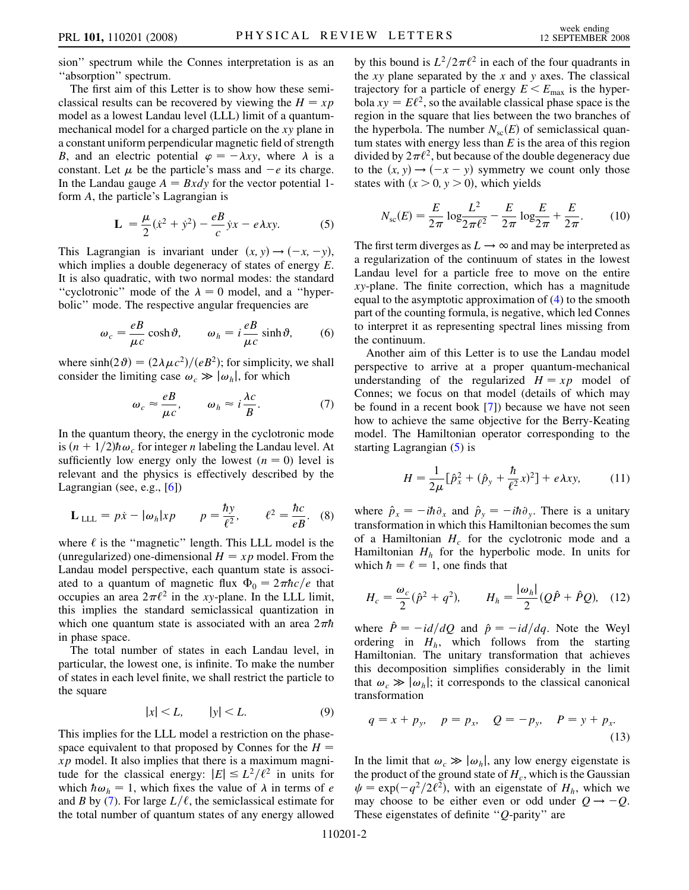sion'' spectrum while the Connes interpretation is as an ''absorption'' spectrum.

The first aim of this Letter is to show how these semiclassical results can be recovered by viewing the  $H = xp$ model as a lowest Landau level (LLL) limit of a quantummechanical model for a charged particle on the xy plane in a constant uniform perpendicular magnetic field of strength B, and an electric potential  $\varphi = -\lambda xy$ , where  $\lambda$  is a constant. Let  $\mu$  be the particle's mass and  $-e$  its charge. In the Landau gauge  $A = Bxdy$  for the vector potential 1form A, the particle's Lagrangian is

$$
\mathbf{L} = \frac{\mu}{2}(\dot{x}^2 + \dot{y}^2) - \frac{e}{c} \dot{y}x - e\lambda xy.
$$
 (5)

<span id="page-1-1"></span>This Lagrangian is invariant under  $(x, y) \rightarrow (-x, -y)$ , which implies a double degeneracy of states of energy E. It is also quadratic, with two normal modes: the standard "cyclotronic" mode of the  $\lambda = 0$  model, and a "hyperbolic'' mode. The respective angular frequencies are

$$
\omega_c = \frac{eB}{\mu c} \cosh \vartheta, \qquad \omega_h = i \frac{eB}{\mu c} \sinh \vartheta, \qquad (6)
$$

<span id="page-1-0"></span>where  $sinh(2\theta) = (2\lambda \mu c^2)/(eB^2)$ ; for simplicity, we shall consider the limiting case  $\omega_c \gg |\omega_h|$ , for which

$$
\omega_c \approx \frac{eB}{\mu c}, \qquad \omega_h \approx i \frac{\lambda c}{B}.
$$
 (7)

In the quantum theory, the energy in the cyclotronic mode is  $(n+1/2)\hbar\omega_c$  for integer *n* labeling the Landau level. At sufficiently low energy only the lowest  $(n = 0)$  level is relevant and the physics is effectively described by the Lagrangian (see, e.g., [6])

$$
\mathbf{L}_{\text{LLL}} = p\dot{x} - |\omega_h| x p \qquad p = \frac{\hbar y}{\ell^2}, \qquad \ell^2 = \frac{\hbar c}{eB}. \quad (8)
$$

where  $\ell$  is the "magnetic" length. This LLL model is the (unregularized) one-dimensional  $H = xp$  model. From the Landau model perspective, each quantum state is associated to a quantum of magnetic flux  $\Phi_0 = 2\pi \hbar c/e$  that occupies an area  $2\pi l^2$  in the xy-plane. In the LLL limit occupies an area  $2\pi l^2$  in the xy-plane. In the LLL limit,<br>this implies the standard semiclassical quantization in this implies the standard semiclassical quantization in which one quantum state is associated with an area  $2\pi\hbar$ <br>in phase space in phase space.

The total number of states in each Landau level, in particular, the lowest one, is infinite. To make the number of states in each level finite, we shall restrict the particle to the square

$$
|x| < L, \qquad |y| < L. \tag{9}
$$

This implies for the LLL model a restriction on the phasespace equivalent to that proposed by Connes for the  $H =$  $xp$  model. It also implies that there is a maximum magnitude for the classical energy:  $|E| \le L^2/\ell^2$  in units for which  $\hbar \omega_h = 1$ , which fixes the value of  $\lambda$  in terms of e and B by [\(7](#page-1-0)). For large  $L/\ell$ , the semiclassical estimate for the total number of quantum states of any energy allowed

by this bound is  $L^2/2\pi\ell^2$  in each of the four quadrants in the *x* y plane separated by the *x* and *y* axes. The classical the  $xy$  plane separated by the  $x$  and  $y$  axes. The classical trajectory for a particle of energy  $E \le E_{\text{max}}$  is the hyperbola  $xy = E\ell^2$ , so the available classical phase space is the region in the square that lies between the two branches of the hyperbola. The number  $N_{sc}(E)$  of semiclassical quantum states with energy less than  $E$  is the area of this region divided by  $2\pi l^2$ , but because of the double degeneracy due<br>to the  $(x, y) \rightarrow (-x - y)$  symmetry we count only those to the  $(x, y) \rightarrow (-x - y)$  symmetry we count only those states with  $(x > 0, y > 0)$ , which yields

<span id="page-1-3"></span>
$$
N_{\rm sc}(E) = \frac{E}{2\pi} \log \frac{L^2}{2\pi \ell^2} - \frac{E}{2\pi} \log \frac{E}{2\pi} + \frac{E}{2\pi}.
$$
 (10)

The first term diverges as  $L \rightarrow \infty$  and may be interpreted as a regularization of the continuum of states in the lowest Landau level for a particle free to move on the entire xy-plane. The finite correction, which has a magnitude equal to the asymptotic approximation of [\(4\)](#page-0-0) to the smooth part of the counting formula, is negative, which led Connes to interpret it as representing spectral lines missing from the continuum.

Another aim of this Letter is to use the Landau model perspective to arrive at a proper quantum-mechanical understanding of the regularized  $H = xp$  model of Connes; we focus on that model (details of which may be found in a recent book [7]) because we have not seen how to achieve the same objective for the Berry-Keating model. The Hamiltonian operator corresponding to the starting Lagrangian ([5\)](#page-1-1) is

$$
H = \frac{1}{2\mu} [\hat{p}_x^2 + (\hat{p}_y + \frac{\hbar}{\ell^2} x)^2] + e\lambda xy,
$$
 (11)

where  $\hat{p}_x = -i\hbar \partial_x$  and  $\hat{p}_y = -i\hbar \partial_y$ . There is a unitary transformation in which this Hamiltonian becomes the sum of a Hamiltonian  $H_c$  for the cyclotronic mode and a Hamiltonian  $H<sub>h</sub>$  for the hyperbolic mode. In units for which  $\hbar = \ell = 1$ , one finds that

<span id="page-1-2"></span>
$$
H_c = \frac{\omega_c}{2} (\hat{p}^2 + q^2), \qquad H_h = \frac{|\omega_h|}{2} (Q\hat{P} + \hat{P}Q), \quad (12)
$$

where  $\hat{P} = -i d/dQ$  and  $\hat{p} = -i d/dq$ . Note the Weyl ordering in  $H_h$ , which follows from the starting Hamiltonian. The unitary transformation that achieves this decomposition simplifies considerably in the limit that  $\omega_c \gg |\omega_h|$ ; it corresponds to the classical canonical transformation

$$
q = x + p_y
$$
,  $p = p_x$ ,  $Q = -p_y$ ,  $P = y + p_x$ . (13)

In the limit that  $\omega_c \gg |\omega_h|$ , any low energy eigenstate is the product of the ground state of  $H_c$ , which is the Gaussian  $\psi = \exp(-q^2/2\ell^2)$ , with an eigenstate of  $H_h$ , which we may choose to be either even or odd under  $Q \rightarrow -Q$ . These eigenstates of definite " $Q$ -parity" are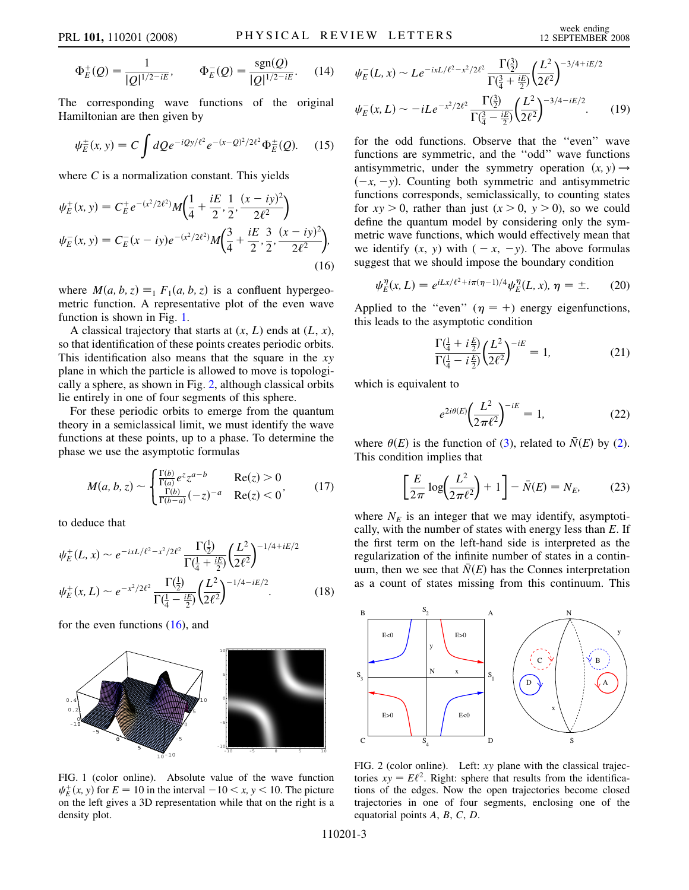$$
\Phi_E^+(Q) = \frac{1}{|Q|^{1/2 - iE}}, \qquad \Phi_E^-(Q) = \frac{\text{sgn}(Q)}{|Q|^{1/2 - iE}}. \tag{14}
$$

The corresponding wave functions of the original Hamiltonian are then given by

$$
\psi_E^{\pm}(x, y) = C \int dQ e^{-iQy/\ell^2} e^{-(x-Q)^2/2\ell^2} \Phi_E^{\pm}(Q). \quad (15)
$$

<span id="page-2-0"></span>where  $C$  is a normalization constant. This yields

$$
\psi_E^+(x, y) = C_E^+ e^{-(x^2/2\ell^2)} M\left(\frac{1}{4} + \frac{iE}{2}, \frac{1}{2}, \frac{(x - iy)^2}{2\ell^2}\right)
$$
  

$$
\psi_E^-(x, y) = C_E^-(x - iy)e^{-(x^2/2\ell^2)} M\left(\frac{3}{4} + \frac{iE}{2}, \frac{3}{2}, \frac{(x - iy)^2}{2\ell^2}\right),
$$
  
(16)

where  $M(a, b, z) \equiv_1 F_1(a, b, z)$  is a confluent hypergeometric function. A representative plot of the even wave function is shown in Fig. 1.

A classical trajectory that starts at  $(x, L)$  ends at  $(L, x)$ , so that identification of these points creates periodic orbits. This identification also means that the square in the  $xy$ plane in which the particle is allowed to move is topologically a sphere, as shown in Fig. 2, although classical orbits lie entirely in one of four segments of this sphere.

For these periodic orbits to emerge from the quantum theory in a semiclassical limit, we must identify the wave functions at these points, up to a phase. To determine the phase we use the asymptotic formulas

$$
M(a, b, z) \sim \begin{cases} \frac{\Gamma(b)}{\Gamma(a)} e^{z} z^{a-b} & \text{Re}(z) > 0\\ \frac{\Gamma(b)}{\Gamma(b-a)} (-z)^{-a} & \text{Re}(z) < 0 \end{cases}
$$
(17)

to deduce that

$$
\psi_E^+(L, x) \sim e^{-ixL/\ell^2 - x^2/2\ell^2} \frac{\Gamma(\frac{1}{2})}{\Gamma(\frac{1}{4} + \frac{iE}{2})} \left(\frac{L^2}{2\ell^2}\right)^{-1/4 + iE/2}
$$

$$
\psi_E^+(x, L) \sim e^{-x^2/2\ell^2} \frac{\Gamma(\frac{1}{2})}{\Gamma(\frac{1}{4} - \frac{iE}{2})} \left(\frac{L^2}{2\ell^2}\right)^{-1/4 - iE/2}.
$$
(18)

for the even functions  $(16)$ , and



FIG. 1 (color online). Absolute value of the wave function  $\psi_E^+(x, y)$  for  $E = 10$  in the interval  $-10 \le x, y \le 10$ . The picture on the left gives a 3D representation while that on the right is a on the left gives a 3D representation while that on the right is a density plot.

$$
\psi_E^-(L, x) \sim Le^{-ixL/\ell^2 - x^2/2\ell^2} \frac{\Gamma(\frac{3}{2})}{\Gamma(\frac{3}{4} + \frac{iE}{2})} \left(\frac{L^2}{2\ell^2}\right)^{-3/4 + iE/2}
$$

$$
\psi_E^-(x, L) \sim -iLe^{-x^2/2\ell^2} \frac{\Gamma(\frac{3}{2})}{\Gamma(\frac{3}{4} - \frac{iE}{2})} \left(\frac{L^2}{2\ell^2}\right)^{-3/4 - iE/2}.\tag{19}
$$

for the odd functions. Observe that the ''even'' wave functions are symmetric, and the ''odd'' wave functions antisymmetric, under the symmetry operation  $(x, y) \rightarrow$  $(-x, -y)$ . Counting both symmetric and antisymmetric functions corresponds, semiclassically, to counting states for  $xy > 0$ , rather than just  $(x > 0, y > 0)$ , so we could define the quantum model by considering only the symmetric wave functions, which would effectively mean that we identify  $(x, y)$  with  $(-x, -y)$ . The above formulas suggest that we should impose the boundary condition

$$
\psi_E^{\eta}(x, L) = e^{iLx/\ell^2 + i\pi(\eta - 1)/4} \psi_E^{\eta}(L, x), \eta = \pm.
$$
 (20)

Applied to the "even" ( $\eta = +$ ) energy eigenfunctions, this leads to the asymptotic condition

$$
\frac{\Gamma(\frac{1}{4} + i\frac{E}{2})}{\Gamma(\frac{1}{4} - i\frac{E}{2})} \left(\frac{L^2}{2\ell^2}\right)^{-iE} = 1,
$$
\n(21)

which is equivalent to

$$
e^{2i\theta(E)} \left(\frac{L^2}{2\pi\ell^2}\right)^{-iE} = 1,
$$
\n(22)

where  $\theta(E)$  is the function of ([3\)](#page-0-1), related to  $\overline{N}(E)$  by ([2\)](#page-0-2). This condition implies that

$$
\left[\frac{E}{2\pi}\log\left(\frac{L^2}{2\pi\ell^2}\right) + 1\right] - \bar{N}(E) = N_E,\tag{23}
$$

where  $N_E$  is an integer that we may identify, asymptotically, with the number of states with energy less than  $E$ . If the first term on the left-hand side is interpreted as the regularization of the infinite number of states in a continuum, then we see that  $\overline{N}(E)$  has the Connes interpretation as a count of states missing from this continuum. This



FIG. 2 (color online). Left: xy plane with the classical trajectories  $xy = E\ell^2$ . Right: sphere that results from the identifications of the edges. Now the open trajectories become closed trajectories in one of four segments, enclosing one of the equatorial points A, B, C, D.